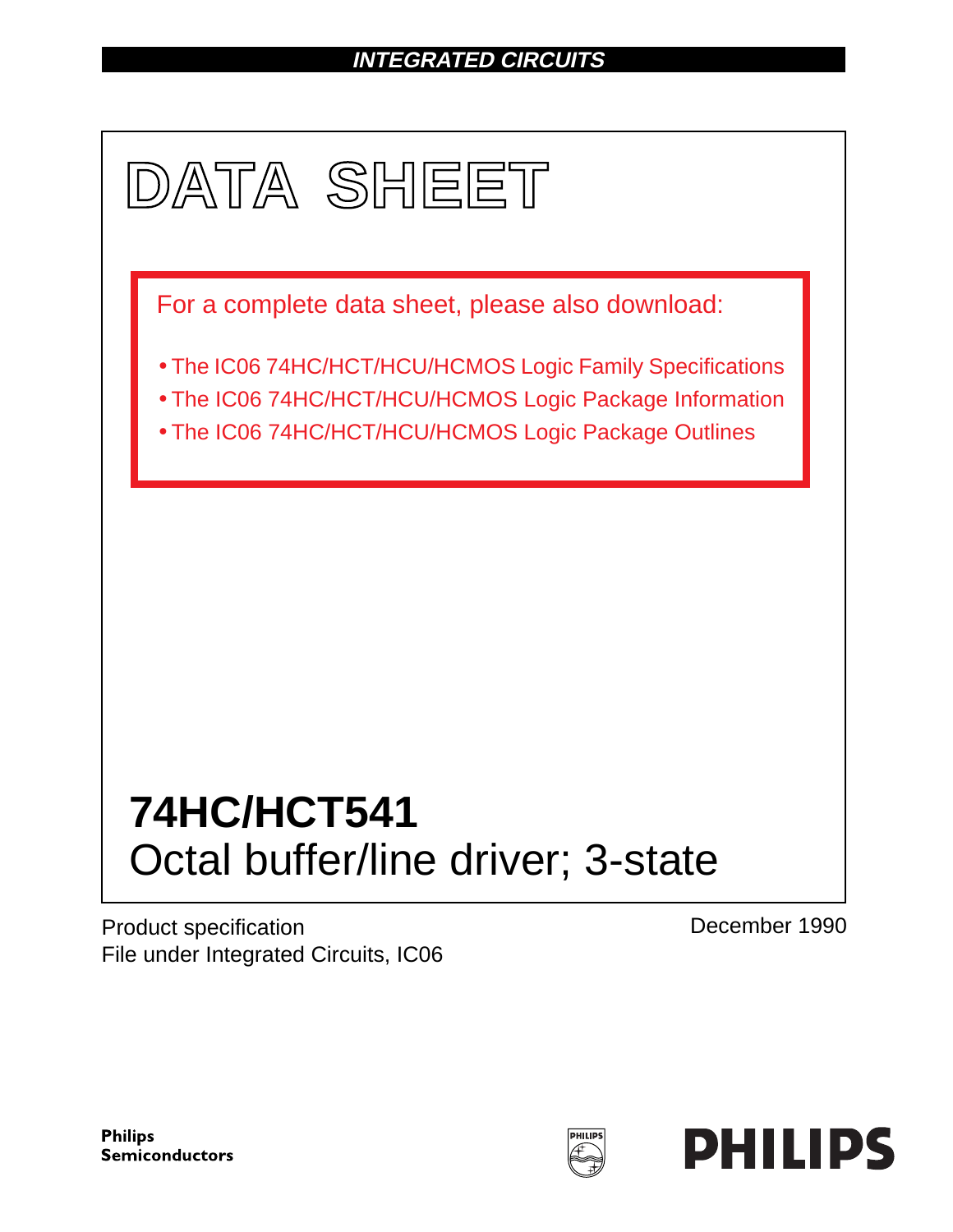## **INTEGRATED CIRCUITS**



Product specification File under Integrated Circuits, IC06 December 1990

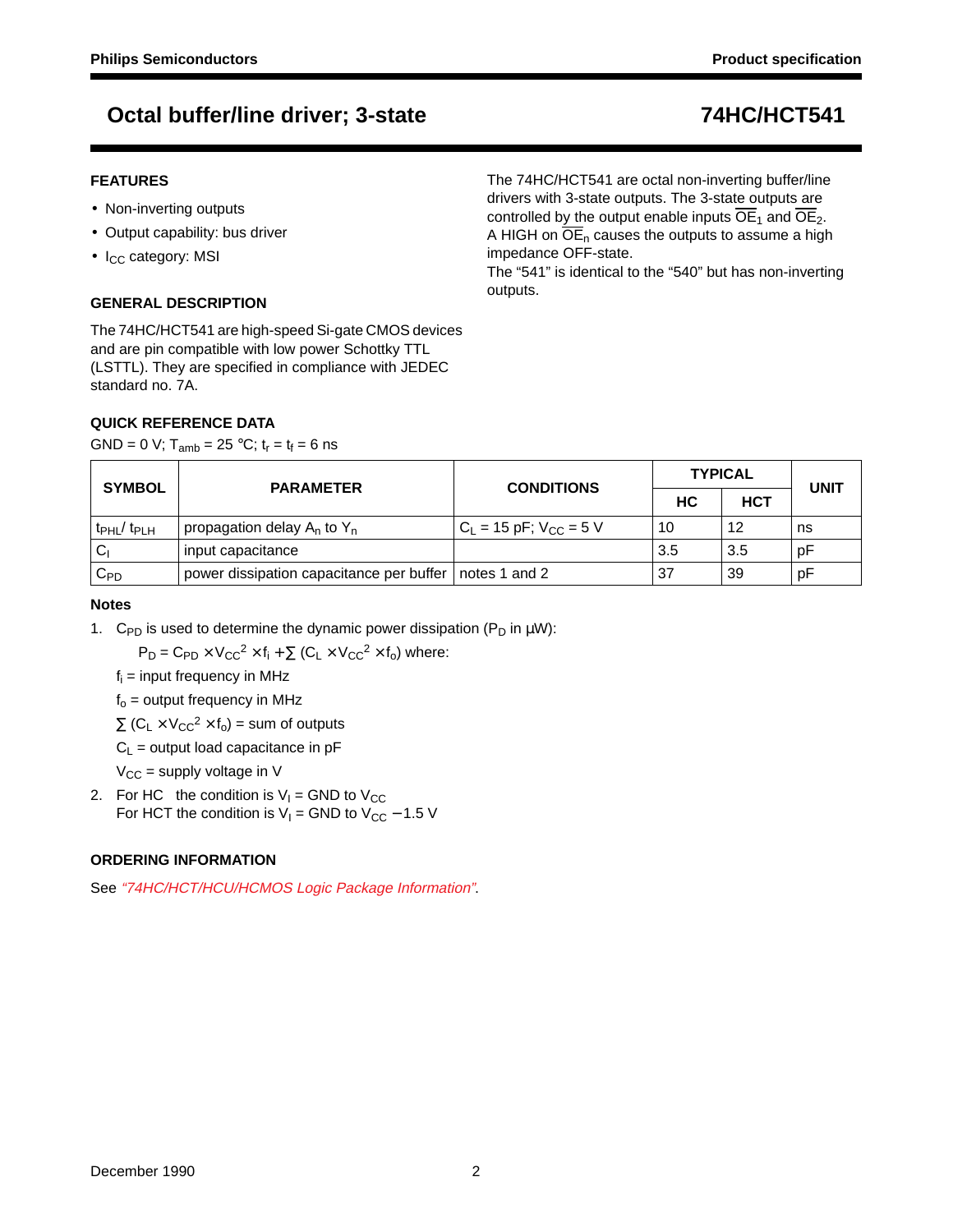## **FEATURES**

- Non-inverting outputs
- Output capability: bus driver
- $\bullet$  I<sub>CC</sub> category: MSI

## **GENERAL DESCRIPTION**

The 74HC/HCT541 are high-speed Si-gate CMOS devices and are pin compatible with low power Schottky TTL (LSTTL). They are specified in compliance with JEDEC standard no. 7A.

## **QUICK REFERENCE DATA**

GND = 0 V;  $T_{amb}$  = 25 °C;  $t_r = t_f = 6$  ns

The 74HC/HCT541 are octal non-inverting buffer/line drivers with 3-state outputs. The 3-state outputs are controlled by the output enable inputs  $\overline{OE}_1$  and  $\overline{OE}_2$ . A HIGH on  $\overline{OE}_n$  causes the outputs to assume a high impedance OFF-state. The "541" is identical to the "540" but has non-inverting

SYMBOL **PARAMETER** CONDITIONS **TYPICAL UNIT HC HCT**  $t_{PHL}/ t_{PLH}$  | propagation delay A<sub>n</sub> to Y<sub>n</sub>  $|C_L = 15 \text{ pF}; V_{CC} = 5 \text{ V}$  | 10 | 12 | ns  $C_1$  input capacitance  $3.5$  pF  $C_{\text{PD}}$  power dissipation capacitance per buffer notes 1 and 2  $\vert$  37  $\vert$  39 pF

outputs.

### **Notes**

1. C<sub>PD</sub> is used to determine the dynamic power dissipation ( $P_D$  in  $\mu W$ ):

 $P_D = C_{PD} \times V_{CC}^2 \times f_i + \sum (C_L \times V_{CC}^2 \times f_o)$  where:

 $f_i$  = input frequency in MHz

 $f<sub>o</sub>$  = output frequency in MHz

 $\Sigma$  (C<sub>L</sub> × V<sub>CC</sub><sup>2</sup> × f<sub>o</sub>) = sum of outputs

 $C_1$  = output load capacitance in pF

 $V_{CC}$  = supply voltage in V

2. For HC the condition is  $V_1 =$  GND to  $V_{CC}$ For HCT the condition is  $V_1$  = GND to  $V_{CC}$  – 1.5 V

## **ORDERING INFORMATION**

See "74HC/HCT/HCU/HCMOS Logic Package Information".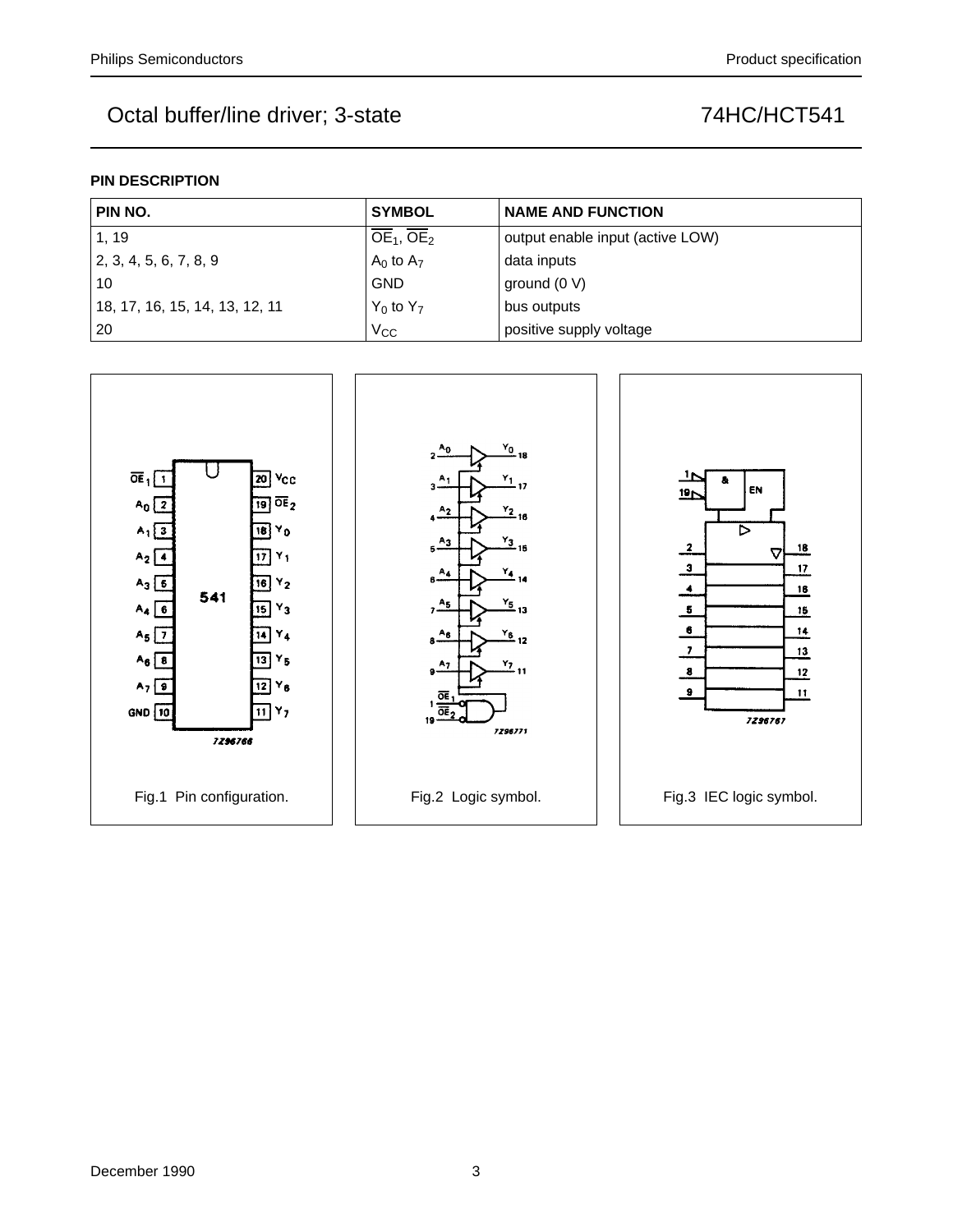## **PIN DESCRIPTION**

| PIN NO.                        | <b>SYMBOL</b>  | <b>NAME AND FUNCTION</b>         |  |  |  |  |  |
|--------------------------------|----------------|----------------------------------|--|--|--|--|--|
| 1, 19                          | $OE1$ , $OE2$  | output enable input (active LOW) |  |  |  |  |  |
| 2, 3, 4, 5, 6, 7, 8, 9         | $A_0$ to $A_7$ | data inputs                      |  |  |  |  |  |
| 10                             | <b>GND</b>     | ground $(0 V)$                   |  |  |  |  |  |
| 18, 17, 16, 15, 14, 13, 12, 11 | $Y_0$ to $Y_7$ | bus outputs                      |  |  |  |  |  |
| 20                             | $V_{\rm CC}$   | positive supply voltage          |  |  |  |  |  |

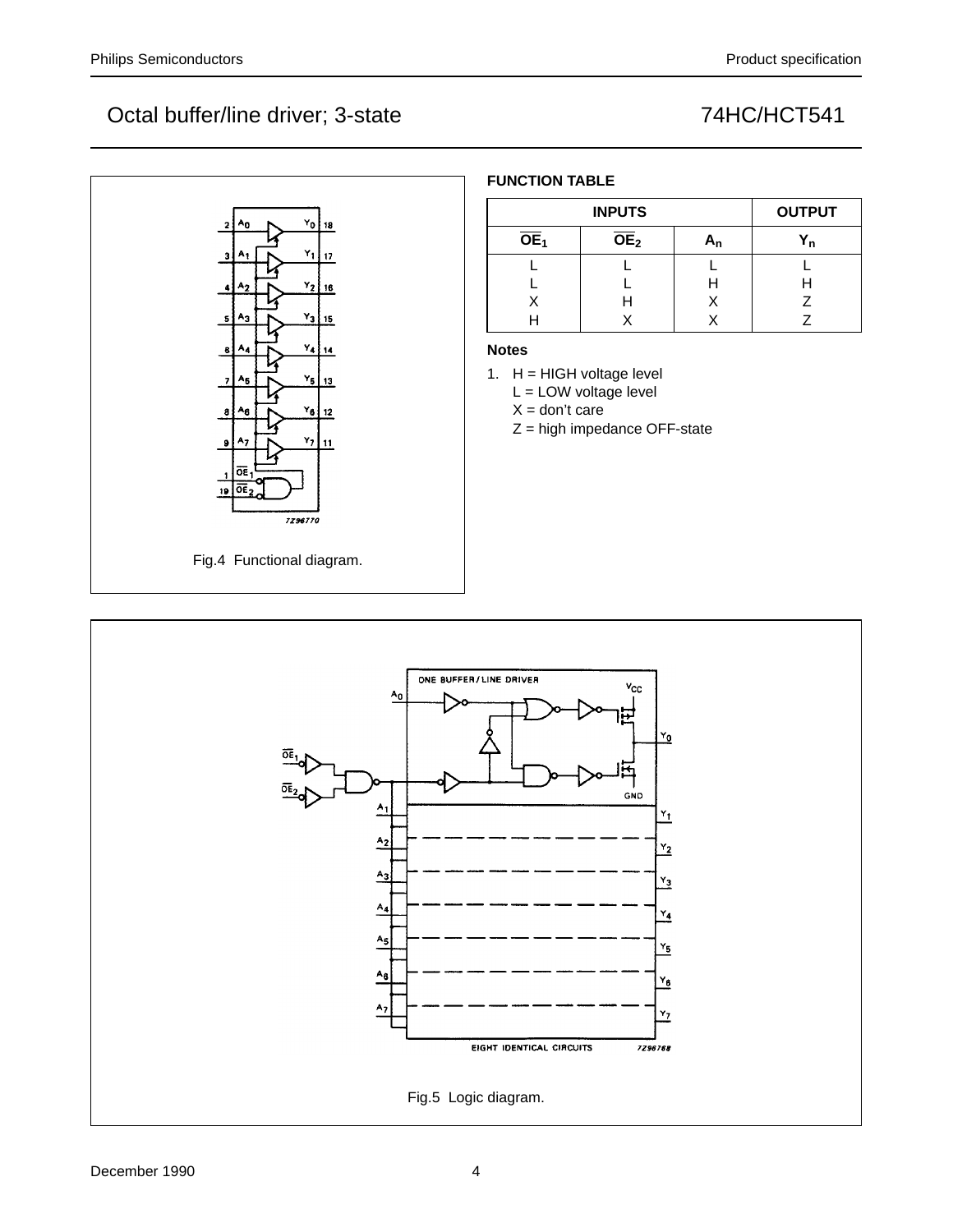

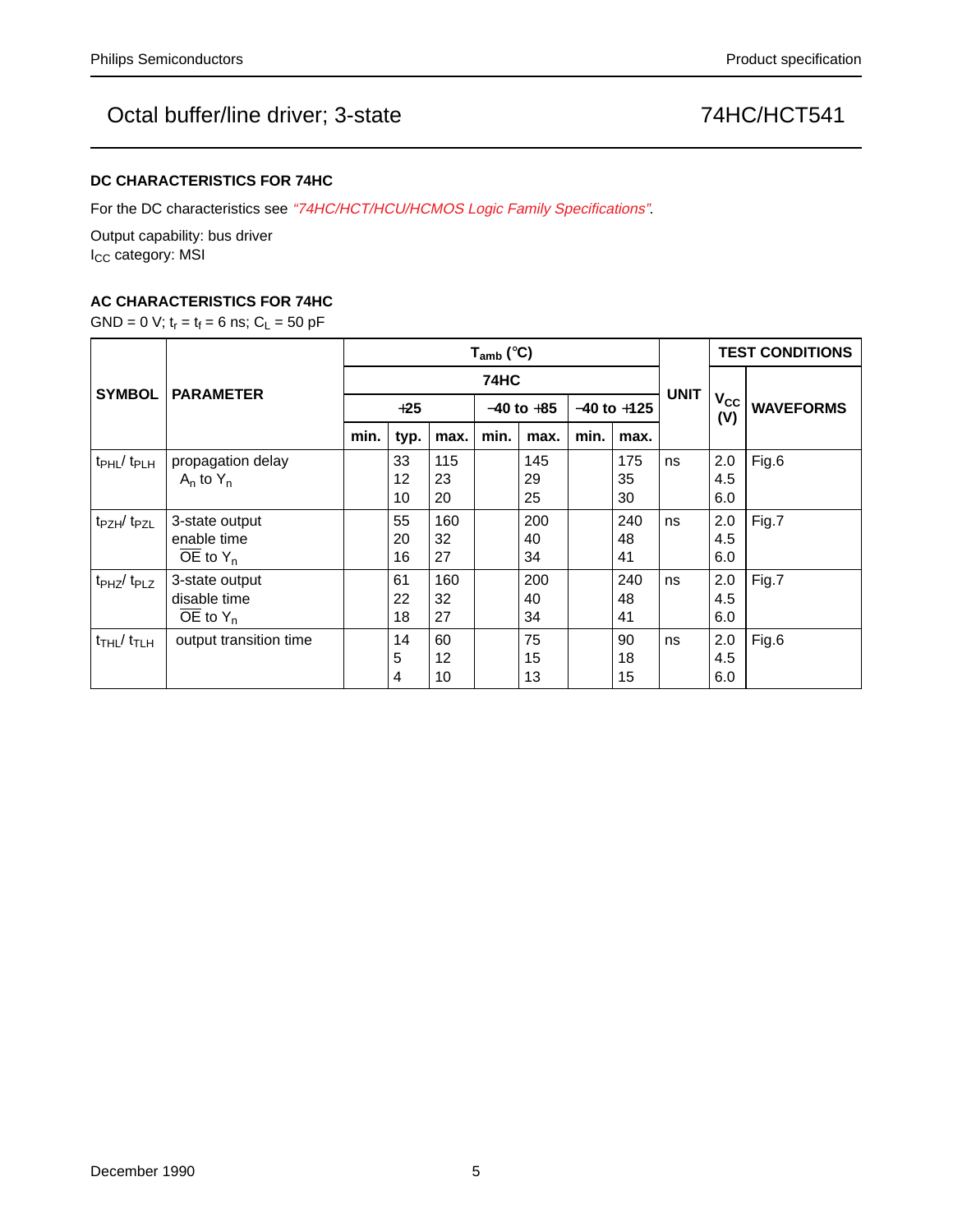### **DC CHARACTERISTICS FOR 74HC**

For the DC characteristics see "74HC/HCT/HCU/HCMOS Logic Family Specifications".

Output capability: bus driver I<sub>CC</sub> category: MSI

## **AC CHARACTERISTICS FOR 74HC**

GND = 0 V;  $t_r = t_f = 6$  ns;  $C_L = 50$  pF

|                                           | <b>PARAMETER</b>       | $T_{amb}$ (°C) |      |      |                |      |                 |      |             | <b>TEST CONDITIONS</b> |                  |
|-------------------------------------------|------------------------|----------------|------|------|----------------|------|-----------------|------|-------------|------------------------|------------------|
| <b>SYMBOL</b>                             |                        | <b>74HC</b>    |      |      |                |      |                 |      |             |                        |                  |
|                                           |                        | $+25$          |      |      | $-40$ to $+85$ |      | $-40$ to $+125$ |      | <b>UNIT</b> | $V_{\text{CC}}$<br>(V) | <b>WAVEFORMS</b> |
|                                           |                        | min.           | typ. | max. | min.           | max. | min.            | max. |             |                        |                  |
| $t_{\rm PHL}$ / $t_{\rm PLH}$             | propagation delay      |                | 33   | 115  |                | 145  |                 | 175  | ns          | 2.0                    | Fig.6            |
|                                           | $A_n$ to $Y_n$         |                | 12   | 23   |                | 29   |                 | 35   |             | 4.5                    |                  |
|                                           |                        |                | 10   | 20   |                | 25   |                 | 30   |             | 6.0                    |                  |
| t <sub>PZH</sub> /t <sub>PZL</sub>        | 3-state output         |                | 55   | 160  |                | 200  |                 | 240  | ns          | 2.0                    | Fig.7            |
|                                           | enable time            |                | 20   | 32   |                | 40   |                 | 48   |             | 4.5                    |                  |
|                                           | $OE$ to $Y_n$          |                | 16   | 27   |                | 34   |                 | 41   |             | 6.0                    |                  |
| $tpHZ$ / $tpLZ$                           | 3-state output         |                | 61   | 160  |                | 200  |                 | 240  | ns          | 2.0                    | Fig.7            |
|                                           | disable time           |                | 22   | 32   |                | 40   |                 | 48   |             | 4.5                    |                  |
|                                           | OE to $Y_n$            |                | 18   | 27   |                | 34   |                 | 41   |             | 6.0                    |                  |
| $t$ <sub>THL</sub> $/$ $t$ <sub>TLH</sub> | output transition time |                | 14   | 60   |                | 75   |                 | 90   | ns          | 2.0                    | Fig.6            |
|                                           |                        |                | 5    | 12   |                | 15   |                 | 18   |             | 4.5                    |                  |
|                                           |                        |                | 4    | 10   |                | 13   |                 | 15   |             | 6.0                    |                  |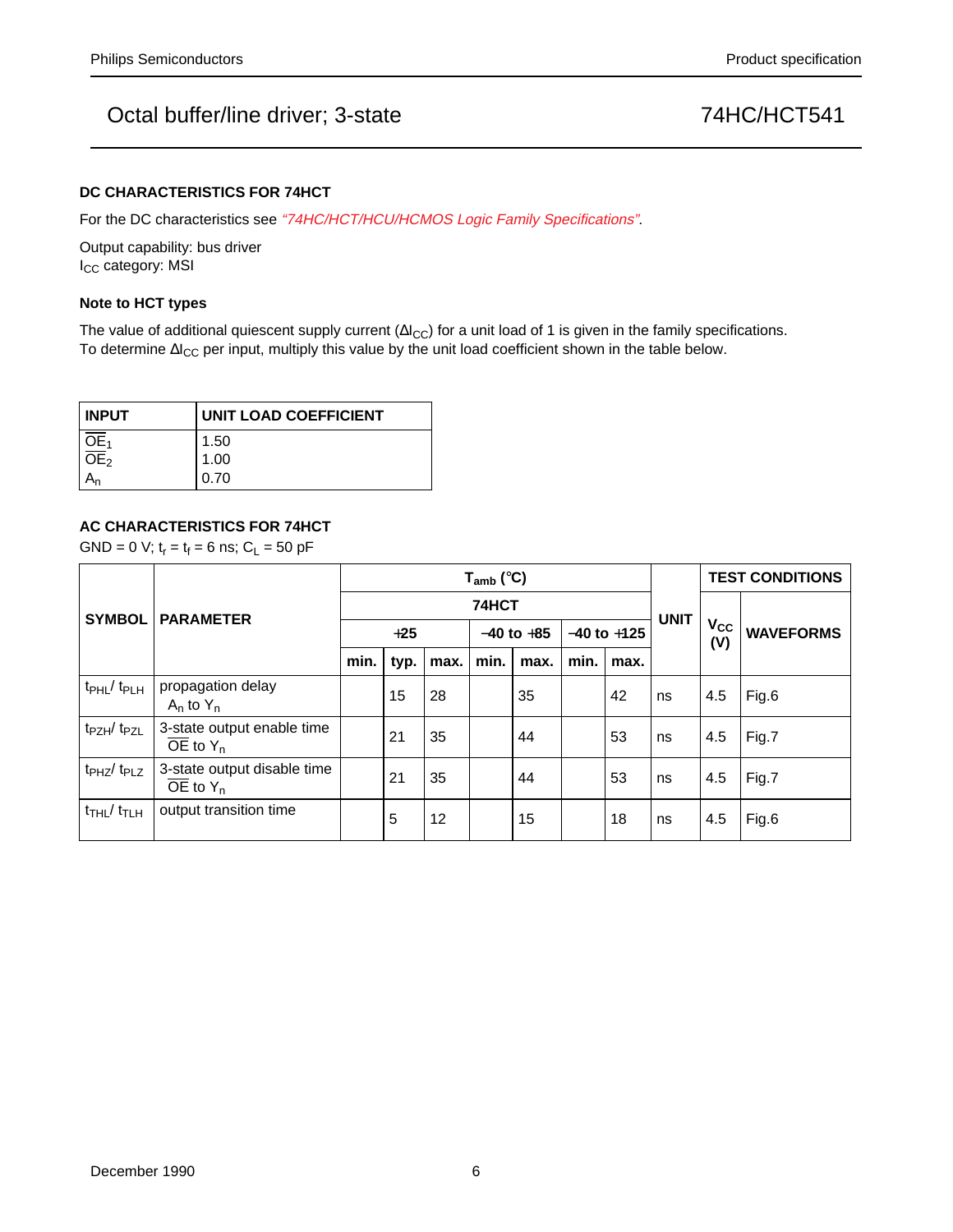### **DC CHARACTERISTICS FOR 74HCT**

For the DC characteristics see "74HC/HCT/HCU/HCMOS Logic Family Specifications".

Output capability: bus driver I<sub>CC</sub> category: MSI

## **Note to HCT types**

The value of additional quiescent supply current ( $\Delta l_{CC}$ ) for a unit load of 1 is given in the family specifications. To determine ∆I<sub>CC</sub> per input, multiply this value by the unit load coefficient shown in the table below.

| <b>INPUT</b>      | UNIT LOAD COEFFICIENT |  |  |  |  |  |  |
|-------------------|-----------------------|--|--|--|--|--|--|
|                   | 1.50                  |  |  |  |  |  |  |
| $rac{OE_1}{OE_2}$ | 1.00                  |  |  |  |  |  |  |
|                   | 0.70                  |  |  |  |  |  |  |

### **AC CHARACTERISTICS FOR 74HCT**

GND = 0 V;  $t_r = t_f = 6$  ns;  $C_L = 50$  pF

| <b>SYMBOL</b>                          | <b>PARAMETER</b>                                                 | $T_{amb}$ (°C) |      |      |                |      |                 |      |             | <b>TEST CONDITIONS</b> |                  |
|----------------------------------------|------------------------------------------------------------------|----------------|------|------|----------------|------|-----------------|------|-------------|------------------------|------------------|
|                                        |                                                                  | 74HCT          |      |      |                |      |                 |      |             |                        |                  |
|                                        |                                                                  | $+25$          |      |      | $-40$ to $+85$ |      | $-40$ to $+125$ |      | <b>UNIT</b> | $V_{CC}$<br>(V)        | <b>WAVEFORMS</b> |
|                                        |                                                                  | min.           | typ. | max. | min.           | max. | min.            | max. |             |                        |                  |
| $t_{\rm PHL}/t_{\rm PLH}$              | propagation delay<br>$A_n$ to $Y_n$                              |                | 15   | 28   |                | 35   |                 | 42   | ns          | 4.5                    | Fig.6            |
| t <sub>PZH</sub> /t <sub>PZL</sub>     | 3-state output enable time<br>$\overline{OE}$ to $Y_n$           |                | 21   | 35   |                | 44   |                 | 53   | ns          | 4.5                    | Fig.7            |
| t <sub>PHZ</sub> /t <sub>PLZ</sub>     | 3-state output disable time<br>$\overline{OE}$ to Y <sub>n</sub> |                | 21   | 35   |                | 44   |                 | 53   | ns          | 4.5                    | Fig.7            |
| $t$ <sub>THL</sub> $/t$ <sub>TLH</sub> | output transition time                                           |                | 5    | 12   |                | 15   |                 | 18   | ns          | 4.5                    | Fig.6            |